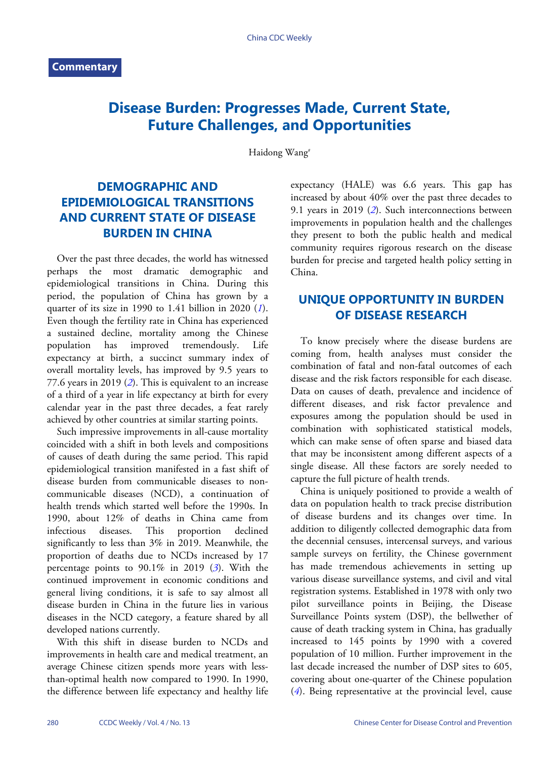# **Disease Burden: Progresses Made, Current State, Future Challenges, and Opportunities**

Haidong Wang#

## **DEMOGRAPHIC AND EPIDEMIOLOGICAL TRANSITIONS AND CURRENT STATE OF DISEASE BURDEN IN CHINA**

Over the past three decades, the world has witnessed perhaps the most dramatic demographic and epidemiological transitions in China. During this period, the population of China has grown by a quarter of its size in 1990 to 1.41 billion in 2020 (*[1](#page-3-0)*). Even though the fertility rate in China has experienced a sustained decline, mortality among the Chinese population has improved tremendously. Life expectancy at birth, a succinct summary index of overall mortality levels, has improved by 9.5 years to 77.6 years in 2019 (*[2](#page-3-1)*). This is equivalent to an increase of a third of a year in life expectancy at birth for every calendar year in the past three decades, a feat rarely achieved by other countries at similar starting points.

Such impressive improvements in all-cause mortality coincided with a shift in both levels and compositions of causes of death during the same period. This rapid epidemiological transition manifested in a fast shift of disease burden from communicable diseases to noncommunicable diseases (NCD), a continuation of health trends which started well before the 1990s. In 1990, about 12% of deaths in China came from infectious diseases. This proportion declined significantly to less than 3% in 2019. Meanwhile, the proportion of deaths due to NCDs increased by 17 percentage points to 90.1% in 2019 (*[3](#page-3-2)*). With the continued improvement in economic conditions and general living conditions, it is safe to say almost all disease burden in China in the future lies in various diseases in the NCD category, a feature shared by all developed nations currently.

With this shift in disease burden to NCDs and improvements in health care and medical treatment, an average Chinese citizen spends more years with lessthan-optimal health now compared to 1990. In 1990, the difference between life expectancy and healthy life expectancy (HALE) was 6.6 years. This gap has increased by about 40% over the past three decades to 9.1 years in 2019 (*[2](#page-3-1)*). Such interconnections between improvements in population health and the challenges they present to both the public health and medical community requires rigorous research on the disease burden for precise and targeted health policy setting in China.

#### **UNIQUE OPPORTUNITY IN BURDEN OF DISEASE RESEARCH**

To know precisely where the disease burdens are coming from, health analyses must consider the combination of fatal and non-fatal outcomes of each disease and the risk factors responsible for each disease. Data on causes of death, prevalence and incidence of different diseases, and risk factor prevalence and exposures among the population should be used in combination with sophisticated statistical models, which can make sense of often sparse and biased data that may be inconsistent among different aspects of a single disease. All these factors are sorely needed to capture the full picture of health trends.

China is uniquely positioned to provide a wealth of data on population health to track precise distribution of disease burdens and its changes over time. In addition to diligently collected demographic data from the decennial censuses, intercensal surveys, and various sample surveys on fertility, the Chinese government has made tremendous achievements in setting up various disease surveillance systems, and civil and vital registration systems. Established in 1978 with only two pilot surveillance points in Beijing, the Disease Surveillance Points system (DSP), the bellwether of cause of death tracking system in China, has gradually increased to 145 points by 1990 with a covered population of 10 million. Further improvement in the last decade increased the number of DSP sites to 605, [co](#page-3-3)vering about one-quarter of the Chinese population (*[4](#page-3-3)*). Being representative at the provincial level, cause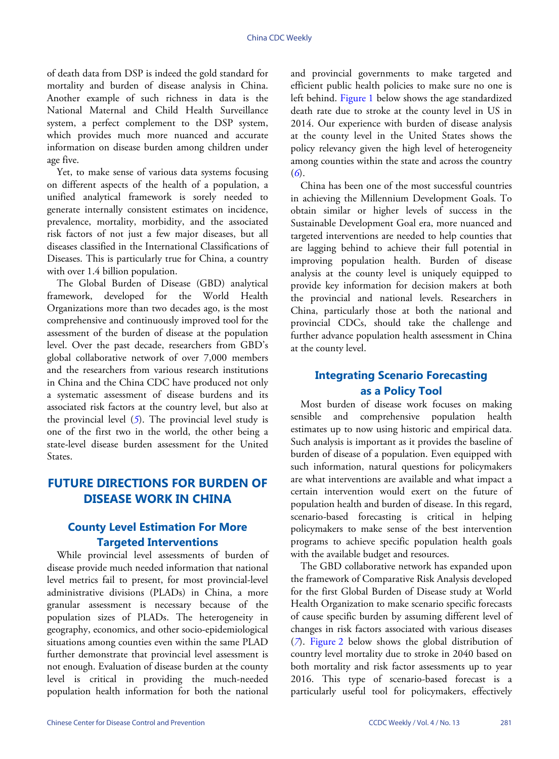of death data from DSP is indeed the gold standard for mortality and burden of disease analysis in China. Another example of such richness in data is the National Maternal and Child Health Surveillance system, a perfect complement to the DSP system, which provides much more nuanced and accurate information on disease burden among children under age five.

Yet, to make sense of various data systems focusing on different aspects of the health of a population, a unified analytical framework is sorely needed to generate internally consistent estimates on incidence, prevalence, mortality, morbidity, and the associated risk factors of not just a few major diseases, but all diseases classified in the International Classifications of Diseases. This is particularly true for China, a country with over 1.4 billion population.

The Global Burden of Disease (GBD) analytical framework, developed for the World Health Organizations more than two decades ago, is the most comprehensive and continuously improved tool for the assessment of the burden of disease at the population level. Over the past decade, researchers from GBD's global collaborative network of over 7,000 members and the researchers from various research institutions in China and the China CDC have produced not only a systematic assessment of disease burdens and its associated risk factors at the country level, but also at the provincial level (*[5](#page-3-4)*). The provincial level study is one of the first two in the world, the other being a state-level disease burden assessment for the United States.

### **FUTURE DIRECTIONS FOR BURDEN OF DISEASE WORK IN CHINA**

#### **County Level Estimation For More Targeted Interventions**

While provincial level assessments of burden of disease provide much needed information that national level metrics fail to present, for most provincial-level administrative divisions (PLADs) in China, a more granular assessment is necessary because of the population sizes of PLADs. The heterogeneity in geography, economics, and other socio-epidemiological situations among counties even within the same PLAD further demonstrate that provincial level assessment is not enough. Evaluation of disease burden at the county level is critical in providing the much-needed population health information for both the national

and provincial governments to make targeted and efficient public health policies to make sure no one is left behind. [Figure 1](#page-2-0) below shows the age standardized death rate due to stroke at the county level in US in 2014. Our experience with burden of disease analysis at the county level in the United States shows the policy relevancy given the high level of heterogeneity among counties within the state and across the country (*[6](#page-3-5)*).

China has been one of the most successful countries in achieving the Millennium Development Goals. To obtain similar or higher levels of success in the Sustainable Development Goal era, more nuanced and targeted interventions are needed to help counties that are lagging behind to achieve their full potential in improving population health. Burden of disease analysis at the county level is uniquely equipped to provide key information for decision makers at both the provincial and national levels. Researchers in China, particularly those at both the national and provincial CDCs, should take the challenge and further advance population health assessment in China at the county level.

### **Integrating Scenario Forecasting as a Policy Tool**

Most burden of disease work focuses on making sensible and comprehensive population health estimates up to now using historic and empirical data. Such analysis is important as it provides the baseline of burden of disease of a population. Even equipped with such information, natural questions for policymakers are what interventions are available and what impact a certain intervention would exert on the future of population health and burden of disease. In this regard, scenario-based forecasting is critical in helping policymakers to make sense of the best intervention programs to achieve specific population health goals with the available budget and resources.

The GBD collaborative network has expanded upon the framework of Comparative Risk Analysis developed for the first Global Burden of Disease study at World Health Organization to make scenario specific forecasts of cause specific burden by assuming different level of [ch](#page-3-6)an[ges in ris](#page-2-1)k factors associated with various diseases (*[7](#page-3-6)*). [Figure 2](#page-2-1) below shows the global distribution of country level mortality due to stroke in 2040 based on both mortality and risk factor assessments up to year 2016. This type of scenario-based forecast is a particularly useful tool for policymakers, effectively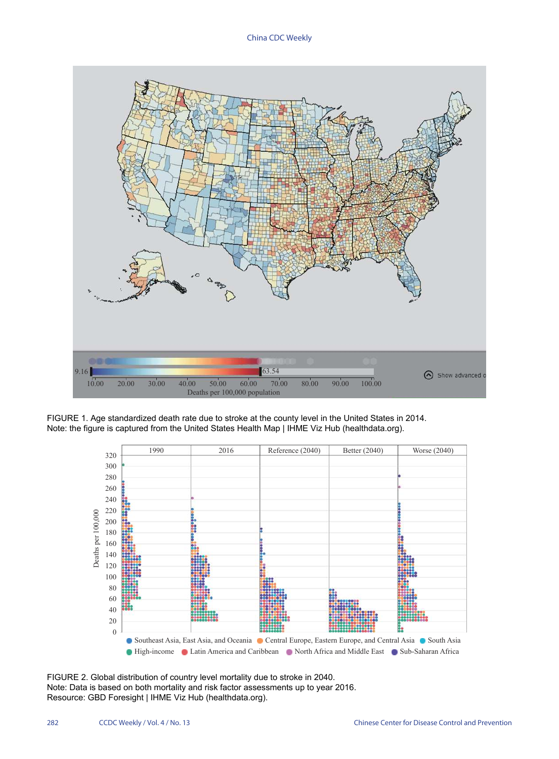China CDC Weekly

<span id="page-2-0"></span>

<span id="page-2-1"></span>FIGURE 1. Age standardized death rate due to stroke at the county level in the United States in 2014. Note: the figure is captured from the United States Health Map | IHME Viz Hub (healthdata.org).



FIGURE 2. Global distribution of country level mortality due to stroke in 2040. Note: Data is based on both mortality and risk factor assessments up to year 2016. Resource: GBD Foresight | IHME Viz Hub (healthdata.org).